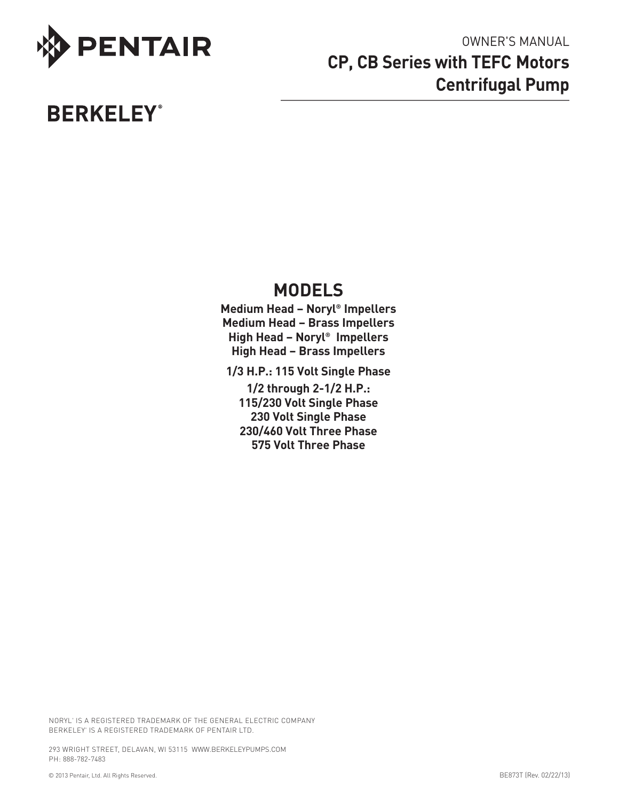

# **BERKELEY®**

# owner's Manual **CP, CB Series with TEFC Motors Centrifugal Pump**

# **MODELS**

**Medium Head – Noryl® Impellers Medium Head – Brass Impellers High Head – Noryl® Impellers High Head – Brass Impellers**

**1/3 H.P.: 115 Volt Single Phase**

**1/2 through 2-1/2 H.P.: 115/230 Volt Single Phase 230 Volt Single Phase 230/460 Volt Three Phase 575 Volt Three Phase**

NORYL<sup>®</sup> IS A REGISTERED TRADEMARK OF THE GENERAL ELECTRIC COMPAN BERKELEY® IS A REGISTERED TRADEMARK OF PENTAIR LTD.

293 WRIGHT STREET, DELAVAN, WI 53115 WWW.BERKELEYPUMPS.COM PH: 888-782-7483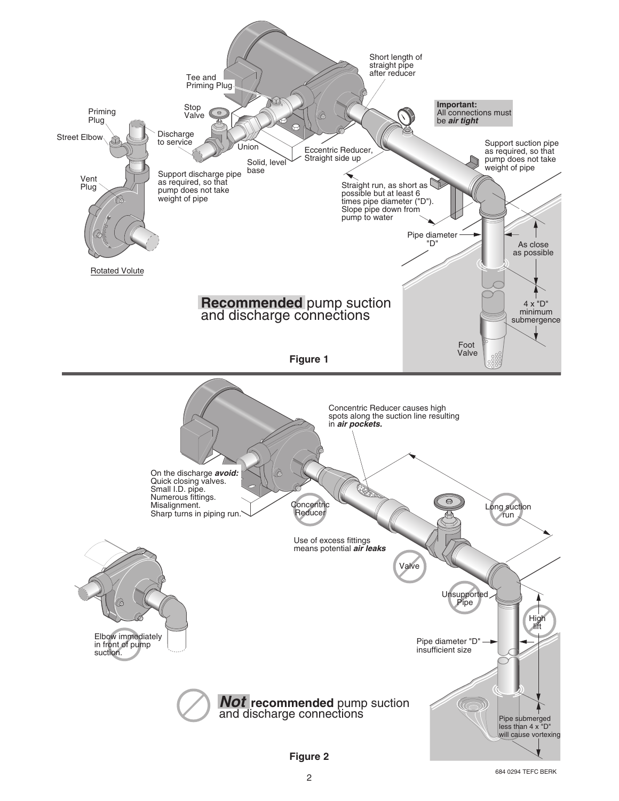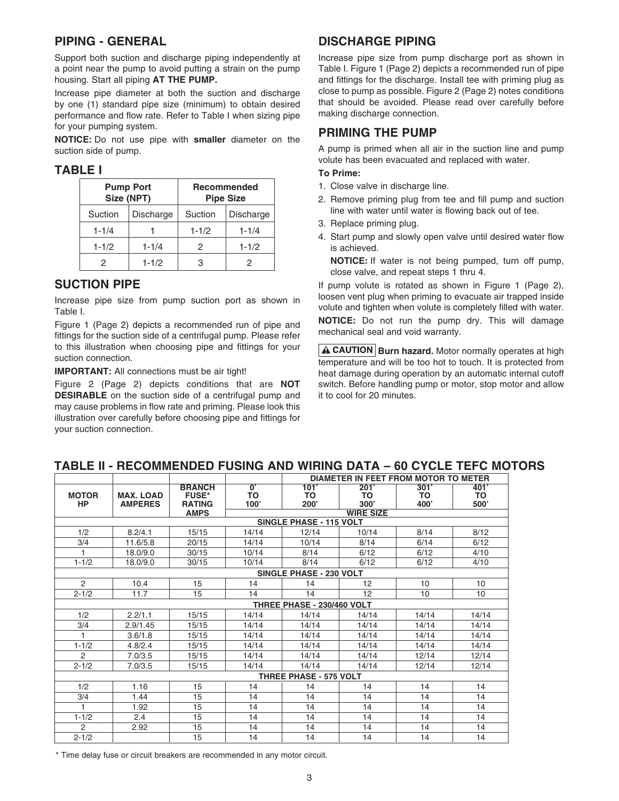## **PIPING - GENERAL**

Support both suction and discharge piping independently at a point near the pump to avoid putting a strain on the pump housing. Start all piping **AT THE PUMP.**

Increase pipe diameter at both the suction and discharge by one (1) standard pipe size (minimum) to obtain desired performance and flow rate. Refer to Table I when sizing pipe for your pumping system.

**NOTICE:** Do not use pipe with **smaller** diameter on the suction side of pump.

#### **TABLE I**

| Size (NPT) | <b>Pump Port</b> | <b>Recommended</b><br><b>Pipe Size</b> |                  |
|------------|------------------|----------------------------------------|------------------|
| Suction    | Discharge        | Suction                                | <b>Discharge</b> |
| $1 - 1/4$  |                  | $1 - 1/2$                              | $1 - 1/4$        |
| $1 - 1/2$  | $1 - 1/4$        | 2                                      | $1 - 1/2$        |
|            | $1 - 1/2$        | З                                      |                  |

### **SUCTION PIPE**

Increase pipe size from pump suction port as shown in Table I.

Figure 1 (Page 2) depicts a recommended run of pipe and fittings for the suction side of a centrifugal pump. Please refer to this illustration when choosing pipe and fittings for your suction connection.

**IMPORTANT:** All connections must be air tight!

Figure 2 (Page 2) depicts conditions that are **NOT DESIRABLE** on the suction side of a centrifugal pump and may cause problems in flow rate and priming. Please look this illustration over carefully before choosing pipe and fittings for your suction connection.

# **DISCHARGE PIPING**

Increase pipe size from pump discharge port as shown in Table I. Figure 1 (Page 2) depicts a recommended run of pipe and fittings for the discharge. Install tee with priming plug as close to pump as possible. Figure 2 (Page 2) notes conditions that should be avoided. Please read over carefully before making discharge connection.

# **PRIMING THE PUMP**

A pump is primed when all air in the suction line and pump volute has been evacuated and replaced with water.

#### **To Prime:**

- 1. Close valve in discharge line.
- 2. Remove priming plug from tee and fill pump and suction line with water until water is flowing back out of tee.
- 3. Replace priming plug.
- 4. Start pump and slowly open valve until desired water flow is achieved.

**NOTICE:** If water is not being pumped, turn off pump, close valve, and repeat steps 1 thru 4.

If pump volute is rotated as shown in Figure 1 (Page 2), loosen vent plug when priming to evacuate air trapped inside volute and tighten when volute is completely filled with water.

**NOTICE:** Do not run the pump dry. This will damage mechanical seal and void warranty.

**A CAUTION Burn hazard.** Motor normally operates at high temperature and will be too hot to touch. It is protected from heat damage during operation by an automatic internal cutoff switch. Before handling pump or motor, stop motor and allow it to cool for 20 minutes.

|                           |                                    |                                                |                              |                                | DIAMETER IN FEET FROM MOTOR TO METER |                    |                           |
|---------------------------|------------------------------------|------------------------------------------------|------------------------------|--------------------------------|--------------------------------------|--------------------|---------------------------|
| <b>MOTOR</b><br><b>HP</b> | <b>MAX. LOAD</b><br><b>AMPERES</b> | <b>BRANCH</b><br><b>FUSE*</b><br><b>RATING</b> | $\overline{0}$<br>TO<br>100' | 101'<br>TO<br>200'             | 201'<br>TO<br>300'                   | 301'<br>TO<br>400' | 401'<br><b>TO</b><br>500' |
|                           |                                    | <b>AMPS</b>                                    |                              |                                | <b>WIRE SIZE</b>                     |                    |                           |
|                           |                                    |                                                |                              | <b>SINGLE PHASE - 115 VOLT</b> |                                      |                    |                           |
| 1/2                       | 8.2/4.1                            | 15/15                                          | 14/14                        | 12/14                          | 10/14                                | 8/14               | 8/12                      |
| 3/4                       | 11.6/5.8                           | 20/15                                          | 14/14                        | 10/14                          | 8/14                                 | 6/14               | 6/12                      |
| 1                         | 18.0/9.0                           | 30/15                                          | 10/14                        | 8/14                           | 6/12                                 | 6/12               | 4/10                      |
| $1 - 1/2$                 | 18.0/9.0                           | 30/15                                          | 10/14                        | 8/14                           | 6/12                                 | 6/12               | 4/10                      |
|                           |                                    |                                                |                              | <b>SINGLE PHASE - 230 VOLT</b> |                                      |                    |                           |
| $\overline{2}$            | 10.4                               | 15                                             | 14                           | 14                             | 12                                   | 10                 | 10                        |
| $2 - 1/2$                 | 11.7                               | 15                                             | 14                           | 14                             | 12                                   | 10                 | 10                        |
|                           |                                    |                                                |                              | THREE PHASE - 230/460 VOLT     |                                      |                    |                           |
| 1/2                       | 2.2/1.1                            | 15/15                                          | 14/14                        | 14/14                          | 14/14                                | 14/14              | 14/14                     |
| 3/4                       | 2.9/1.45                           | 15/15                                          | 14/14                        | 14/14                          | 14/14                                | 14/14              | 14/14                     |
|                           | 3.6/1.8                            | 15/15                                          | 14/14                        | 14/14                          | 14/14                                | 14/14              | 14/14                     |
| $1 - 1/2$                 | 4.8/2.4                            | 15/15                                          | 14/14                        | 14/14                          | 14/14                                | 14/14              | 14/14                     |
| $\overline{c}$            | 7.0/3.5                            | 15/15                                          | 14/14                        | 14/14                          | 14/14                                | 12/14              | 12/14                     |
| $2 - 1/2$                 | 7.0/3.5                            | 15/15                                          | 14/14                        | 14/14                          | 14/14                                | 12/14              | 12/14                     |
|                           |                                    |                                                |                              | <b>THREE PHASE - 575 VOLT</b>  |                                      |                    |                           |
| 1/2                       | 1.16                               | 15                                             | 14                           | 14                             | 14                                   | 14                 | 14                        |
| 3/4                       | 1.44                               | 15                                             | 14                           | 14                             | 14                                   | 14                 | 14                        |
| 1                         | 1.92                               | 15                                             | 14                           | 14                             | 14                                   | 14                 | 14                        |
| $1 - 1/2$                 | 2.4                                | 15                                             | 14                           | 14                             | 14                                   | 14                 | 14                        |
| 2                         | 2.92                               | 15                                             | 14                           | 14                             | 14                                   | 14                 | 14                        |
| $2 - 1/2$                 |                                    | 15                                             | 14                           | 14                             | 14                                   | 14                 | 14                        |

# **TABLE II - RECOMMENDED FUSING AND WIRING DATA – 60 CYCLE TEFC MOTORS**

\* Time delay fuse or circuit breakers are recommended in any motor circuit.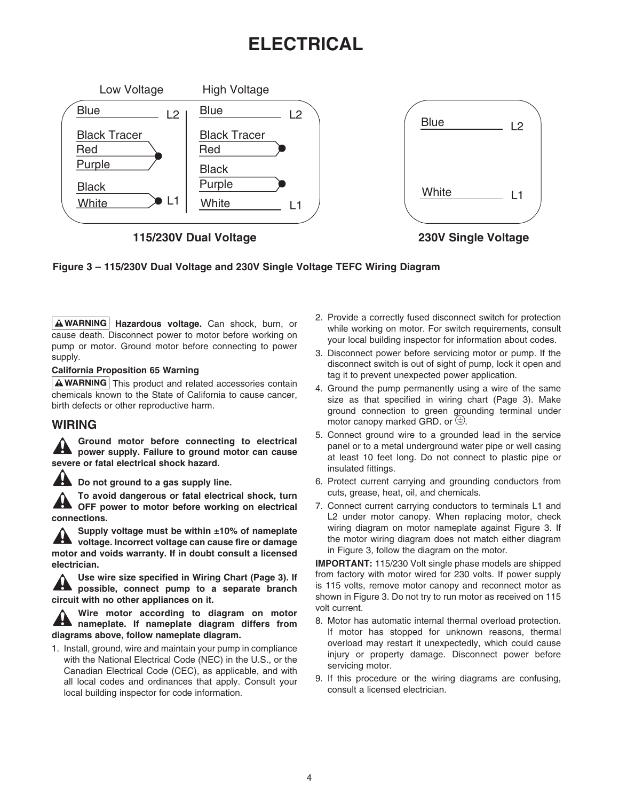# **ELECTRICAL**



**115/230V Dual Voltage 230V Single Voltage**

**Figure 3 – 115/230V Dual Voltage and 230V Single Voltage TEFC Wiring Diagram**

**Hazardous voltage.** Can shock, burn, or cause death. Disconnect power to motor before working on pump or motor. Ground motor before connecting to power supply.

#### **California Proposition 65 Warning**

 $\Delta$  WARNING This product and related accessories contain chemicals known to the State of California to cause cancer, birth defects or other reproductive harm.

### **WIRING**

**Ground motor before connecting to electrical power supply. Failure to ground motor can cause severe or fatal electrical shock hazard.**

**Do not ground to a gas supply line.**

**To avoid dangerous or fatal electrical shock, turn OFF power to motor before working on electrical connections.**

**Supply voltage must be within ±10% of nameplate voltage. Incorrect voltage can cause fire or damage motor and voids warranty. If in doubt consult a licensed electrician.**

**Use wire size specified in Wiring Chart (Page 3). If possible, connect pump to a separate branch circuit with no other appliances on it.**

**Wire motor according to diagram on motor nameplate. If nameplate diagram differs from diagrams above, follow nameplate diagram.**

1. Install, ground, wire and maintain your pump in compliance with the National Electrical Code (NEC) in the U.S., or the Canadian Electrical Code (CEC), as applicable, and with all local codes and ordinances that apply. Consult your local building inspector for code information.

- 2. Provide a correctly fused disconnect switch for protection while working on motor. For switch requirements, consult your local building inspector for information about codes.
- 3. Disconnect power before servicing motor or pump. If the disconnect switch is out of sight of pump, lock it open and tag it to prevent unexpected power application.
- 4. Ground the pump permanently using a wire of the same size as that specified in wiring chart (Page 3). Make ground connection to green grounding terminal under motor canopy marked GRD. or  $\oplus$ .
- 5. Connect ground wire to a grounded lead in the service panel or to a metal underground water pipe or well casing at least 10 feet long. Do not connect to plastic pipe or insulated fittings.
- 6. Protect current carrying and grounding conductors from cuts, grease, heat, oil, and chemicals.
- 7. Connect current carrying conductors to terminals L1 and L2 under motor canopy. When replacing motor, check wiring diagram on motor nameplate against Figure 3. If the motor wiring diagram does not match either diagram in Figure 3, follow the diagram on the motor.

**IMPORTANT:** 115/230 Volt single phase models are shipped from factory with motor wired for 230 volts. If power supply is 115 volts, remove motor canopy and reconnect motor as shown in Figure 3. Do not try to run motor as received on 115 volt current.

- 8. Motor has automatic internal thermal overload protection. If motor has stopped for unknown reasons, thermal overload may restart it unexpectedly, which could cause injury or property damage. Disconnect power before servicing motor.
- 9. If this procedure or the wiring diagrams are confusing, consult a licensed electrician.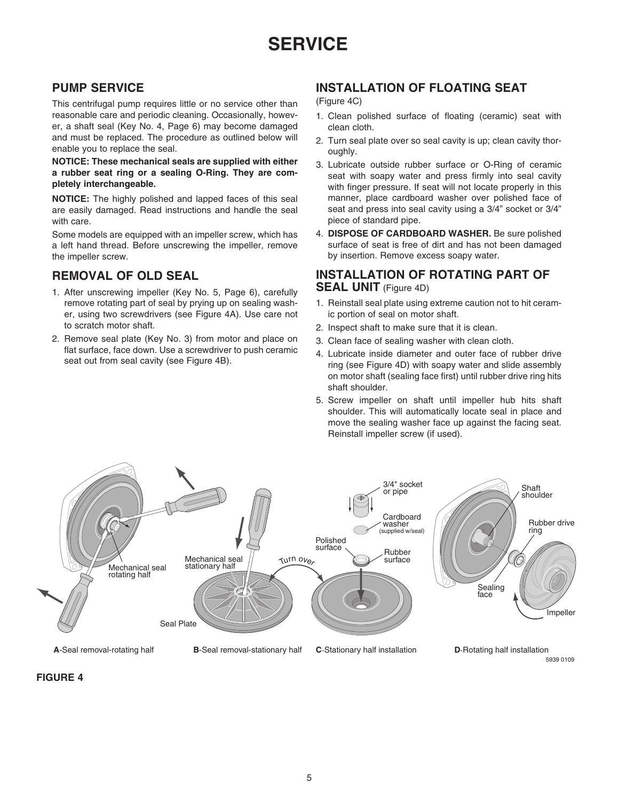# **PUMP SERVICE**

This centrifugal pump requires little or no service other than reasonable care and periodic cleaning. Occasionally, however, a shaft seal (Key No. 4, Page 6) may become damaged and must be replaced. The procedure as outlined below will enable you to replace the seal.

**NOTICE: These mechanical seals are supplied with either a rubber seat ring or a sealing O-Ring. They are completely interchangeable.**

**NOTICE:** The highly polished and lapped faces of this seal are easily damaged. Read instructions and handle the seal with care.

Some models are equipped with an impeller screw, which has a left hand thread. Before unscrewing the impeller, remove the impeller screw.

# **Removal of Old Seal**

- 1. After unscrewing impeller (Key No. 5, Page 6), carefully remove rotating part of seal by prying up on sealing washer, using two screwdrivers (see Figure 4A). Use care not to scratch motor shaft.
- 2. Remove seal plate (Key No. 3) from motor and place on flat surface, face down. Use a screwdriver to push ceramic seat out from seal cavity (see Figure 4B).

# **Installation of Floating Seat**

(Figure 4C)

- 1. Clean polished surface of floating (ceramic) seat with clean cloth.
- 2. Turn seal plate over so seal cavity is up; clean cavity thoroughly.
- 3. Lubricate outside rubber surface or O-Ring of ceramic seat with soapy water and press firmly into seal cavity with finger pressure. If seat will not locate properly in this manner, place cardboard washer over polished face of seat and press into seal cavity using a 3/4" socket or 3/4" piece of standard pipe.
- 4. **Dispose of cardboard washer.** Be sure polished surface of seat is free of dirt and has not been damaged by insertion. Remove excess soapy water.

### **Installation of Rotating Part of SEAL UNIT** (Figure 4D)

- 1. Reinstall seal plate using extreme caution not to hit ceramic portion of seal on motor shaft.
- 2. Inspect shaft to make sure that it is clean.
- 3. Clean face of sealing washer with clean cloth.
- 4. Lubricate inside diameter and outer face of rubber drive ring (see Figure 4D) with soapy water and slide assembly on motor shaft (sealing face first) until rubber drive ring hits shaft shoulder.
- 5. Screw impeller on shaft until impeller hub hits shaft shoulder. This will automatically locate seal in place and move the sealing washer face up against the facing seat. Reinstall impeller screw (if used).



#### **FIGURE 4**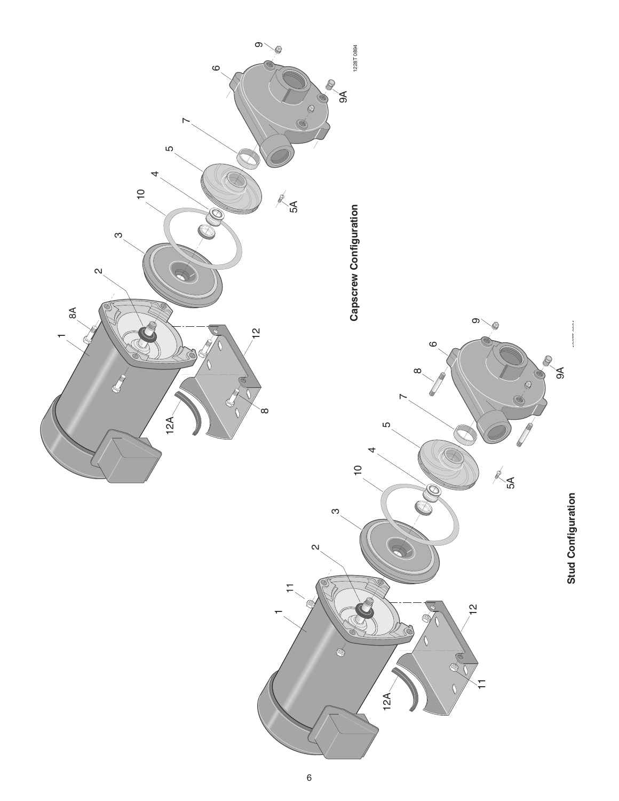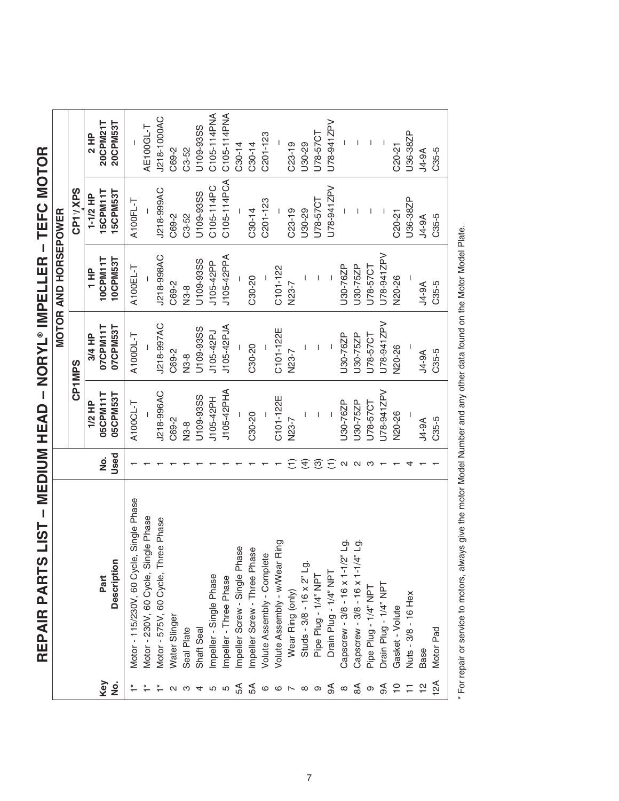|                                                                      |                                                                      |                    |                          |                | <b>MOTOR AND HORSEPOWER</b> |                 |             |
|----------------------------------------------------------------------|----------------------------------------------------------------------|--------------------|--------------------------|----------------|-----------------------------|-----------------|-------------|
|                                                                      |                                                                      |                    |                          | <b>CP1MPS</b>  |                             | CP11/XPS        |             |
|                                                                      |                                                                      |                    | 1/2 HP                   | 3/4 HP         | $\frac{P}{1}$               | $1-1/2$ HP      | 2 HP        |
| Key                                                                  | Part                                                                 | $\dot{\mathsf{z}}$ | 05CPM11T                 | 07CPM11T       | 10CPM11T                    | 15CPM11T        | 20CPM21T    |
| <u>ş</u>                                                             | Description                                                          | Used               | 05CPM53T                 | 07CPM53T       | 10CPM53T                    | <b>15CPM53T</b> | 20CPM53T    |
|                                                                      | Motor - 115/230V, 60 Cycle, Single Phase                             |                    | A100CL-T                 | A100DL-T       | A100EL-T                    | A100FL-T        |             |
|                                                                      | Motor - 230V, 60 Cycle, Single Phase                                 |                    |                          |                |                             |                 | AE100GL-T   |
|                                                                      | Motor - 575V, 60 Cycle, Three Phase                                  |                    | J218-996AC               | J218-997AC     | J218-998AC                  | J218-999AC      | J218-1000AC |
|                                                                      | Water Slinger                                                        |                    | C69-2                    | C69-2          | C69-2                       | C69-2           | C69-2       |
| က                                                                    | Seal Plate                                                           |                    | N3-8                     | N3-8           | N3-8                        | C3-52           | $C3 - 52$   |
| 4 ro                                                                 | Shaft Seal                                                           |                    | U109-93SS                | U109-93SS      | U109-93SS                   | U109-93SS       | U109-93SS   |
|                                                                      | Impeller - Single Phase                                              |                    | J105-42PH                | J105-42PJ      | J105-42PP                   | C105-114PC      | C105-114PNA |
| LO                                                                   | Impeller - Three Phase                                               |                    | J105-42PHA               | J105-42PJA     | J105-42PPA                  | C105-114PCA     | C105-114PNA |
| £₹                                                                   | Impeller Screw - Single Phase                                        |                    |                          |                |                             |                 | $C30-14$    |
| 54                                                                   | Impeller Screw - Three Phase                                         |                    | $C30-20$                 | C30-20         | C30-20                      | C30-14          | $C30-14$    |
| $\begin{array}{ccc} \circ & \circ & \circ & \circ \circ \end{array}$ | Volute Assembly - Complete                                           |                    |                          |                |                             | C201-123        | C201-123    |
|                                                                      | Volute Assembly - w/Wear Ring                                        |                    | C101-122E                | C101-122E      | C101-122                    |                 |             |
|                                                                      | Wear Ring (only)                                                     |                    | N23-7                    | N23-7          | N23-7                       | $C23-19$        | $C23-19$    |
|                                                                      | Studs - 3/8 - 16 x 2" Lg                                             | E                  | $\overline{1}$           | $\overline{1}$ |                             | U30-29          | U30-29      |
|                                                                      | Pipe Plug - 1/4" NPT                                                 | ဨ                  |                          |                |                             | U78-57CT        | U78-57CT    |
| $\mathcal{A}$                                                        | Drain Plug - 1/4" NPT                                                | $\widehat{\Xi}$    | $\overline{\phantom{a}}$ |                |                             | J78-941ZPV      | U78-941ZPV  |
| $\infty$                                                             |                                                                      | $\mathbf{\Omega}$  | J30-76ZP                 | U30-76ZP       | U30-76ZP                    |                 |             |
| $\mathbb{S}^{\mathsf{A}}$                                            | Capscrew - 3/8 - 16 x 1-1/2" Lg.<br>Capscrew - 3/8 - 16 x 1-1/4" Lg. | $\mathbf{\Omega}$  | J30-75ZP                 | J30-75ZP       | U30-75ZP                    |                 |             |
| $\circ$                                                              | Pipe Plug - 1/4" NPT                                                 |                    | J78-57CT                 | U78-57CT       | U78-57CT                    |                 |             |
| €                                                                    | Drain Plug - 1/4" NPT                                                |                    | J78-941ZPV               | U78-941ZPV     | U78-941ZPV                  |                 | I           |
| $\overline{C}$                                                       | Gasket - Volute                                                      |                    | N20-26                   | <b>N20-26</b>  | N20-26                      | C20-21          | $C20-21$    |
| Ξ                                                                    | Nuts - 3/8 - 16 Hex                                                  |                    | $\mathsf{I}$             | $\overline{1}$ |                             | U36-38ZP        | U36-38ZP    |
|                                                                      | Base                                                                 |                    | $4-9A$                   | <b>J4-9A</b>   | <b>Ae-AL</b>                | <b>J4-9A</b>    | $4-9A$      |
| $\approx$                                                            | Motor Pad                                                            |                    | C35-5                    | C35-5          | C35-5                       | C35-5           | C35-5       |
|                                                                      |                                                                      |                    |                          |                |                             |                 |             |

REPAIR PARTS LIST - MEDIUM HEAD - NORYL® IMPELLER - TEFC MOTOR **REPAIR PARTS LIST – MEDIUM HEAD – NORYL® IMPELLER – TEFC MOTOR**

\* For repair or service to motors, always give the motor Model Number and any other data found on the Motor Model Plate. For repair or service to motors, always give the motor Model Number and any other data found on the Motor Model Plate.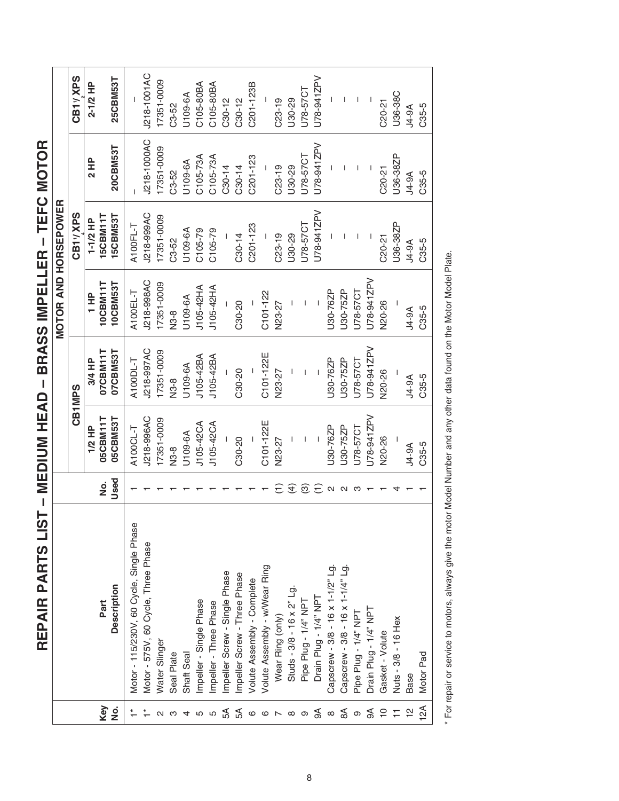| i<br>J<br>ĺ<br>I      |
|-----------------------|
|                       |
| l<br>I                |
| Í<br>i<br>֚֚֡֡        |
|                       |
| I<br> <br> <br>       |
| l<br> <br> <br>       |
| -<br>-<br>-<br>-<br>í |

|                |                                          |                 |             |               |               | <b>MOTOR AND HORSEPOWER</b> |              |             |
|----------------|------------------------------------------|-----------------|-------------|---------------|---------------|-----------------------------|--------------|-------------|
|                |                                          |                 |             | CB1MPS        |               | CB11/XPS                    |              | CB11/XPS    |
|                |                                          |                 | 1/2 HP      | 3/4 HP        | $\frac{P}{1}$ | $1-1/2$ HP                  | 2 HP         | 2-1/2 HP    |
| Key            | Part                                     | ġ               | 05CBM11T    | 07CBM11T      | 10CBM11T      | 15CBM11T                    |              |             |
| ġ              | Description                              | Used            | 05CBM53T    | 07CBM53T      | 10CBM53T      | <b>15CBM53T</b>             | 20CBM53T     | 25CBM53T    |
|                | Motor - 115/230V, 60 Cycle, Single Phase |                 | A100CL-T    | A100DL-T      | A100EL-T      | A100FL-T                    |              |             |
|                | Motor - 575V, 60 Cycle, Three Phase      |                 | J218-996AC  | J218-997AC    | J218-998AC    | J218-999AC                  | J218-1000AC  | J218-1001AC |
|                | Water Slinger                            |                 | 17351-0009  | 17351-0009    | 17351-0009    | 17351-0009                  | 17351-0009   | 17351-0009  |
|                | Seal Plate                               |                 | N3-8        | N3-8          | N3-8          | C3-52                       | C3-52        | C3-52       |
|                | Shaft Seal                               |                 | U109-6A     | U109-6A       | U109-6A       | U109-6A                     | U109-6A      | U109-6A     |
| 5              | Impeller - Single Phase                  |                 | J105-42CA   | J105-42BA     | J105-42HA     | C105-79                     | C105-73A     | C105-80BA   |
|                | Impeller - Three Phase                   |                 | J105-42CA   | J105-42BA     | J105-42HA     | $C105-79$                   | C105-73A     | C105-80BA   |
| R              | Impeller Screw - Single Phase            |                 |             |               |               |                             | $C30-14$     | $C30-12$    |
| ЗÁ             | Impeller Screw - Three Phase             |                 | C30-20      | C30-20        | C30-20        | $C30-14$                    | $C30 - 14$   | $C30 - 12$  |
| $\circ$        | <b>Volute Assembly - Complete</b>        |                 |             |               |               | $C201 - 123$                | C201-123     | C201-123B   |
| $\circ$        | Volute Assembly - w/Wear Ring            |                 | C101-122E   | C101-122E     | C101-122      |                             |              |             |
|                | Wear Ring (only)                         | $\widehat{\Xi}$ | N23-27      | N23-27        | V23-27        | $C23-19$                    | $C23-19$     | $C23-19$    |
| $\infty$       | Studs - $3/8$ - 16 x $2"$ Lg.            | $\widehat{f}$   |             |               |               | J30-29                      | U30-29       | U30-29      |
| တ              | Pipe Plug - 1/4" NPT                     | <u>ල</u>        |             |               |               | J78-57CT                    | U78-57CT     | U78-57CT    |
| $\mathfrak{F}$ | Drain Plug - 1/4" NPT                    | $\widehat{\Xi}$ |             |               |               | U78-941ZPV                  | U78-941ZPV   | U78-941ZPV  |
| $\infty$       | Capscrew - 3/8 - 16 x 1-1/2" Lg.         | $\sim$          | J30-76ZP    | J30-76ZP      | J30-76ZP      |                             |              |             |
| $\mathbb{S}$   | Capscrew - 3/8 - 16 x 1-1/4" Lg.         | N               | U30-75ZP    | U30-75ZP      | J30-75ZP      |                             |              |             |
| ၜ              | Pipe Plug - 1/4" NPT                     |                 | U78-57CT    | J78-57CT      | J78-57CT      |                             |              |             |
| $\mathbb S$    | Drain Plug - 1/4" NPT                    |                 | U78-941ZPV  | U78-941ZPV    | J78-941ZPV    |                             |              |             |
| $\overline{C}$ | Gasket - Volute                          |                 | N20-26      | <b>N20-26</b> | <b>V20-26</b> | $C20-21$                    | $C20-21$     | $C20-21$    |
|                | Nuts - 3/8 - 16 Hex                      |                 |             |               |               | U36-38ZP                    | U36-38ZP     | U36-38C     |
|                | Base                                     |                 | <b>A-9A</b> | <b>A-9A</b>   | <b>J4-9A</b>  | $A-9A$                      | <b>J4-9A</b> | $A-9A$      |
| $\mathbb{A}$   | Motor Pad                                |                 | C35-5       | C35-5         | C35-5         | C35-5                       | C35-5        | C35-5       |
|                |                                          |                 |             |               |               |                             |              |             |

\* For repair or service to motors, always give the motor Model Number and any other data found on the Motor Model Plate. For repair or service to motors, always give the motor Model Number and any other data found on the Motor Model Plate.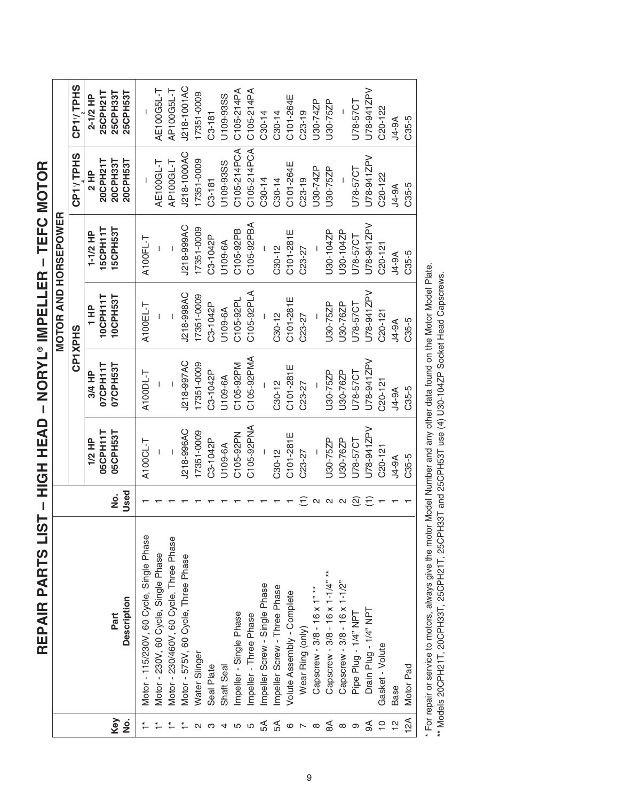| I                       |
|-------------------------|
| I                       |
| <br> -<br> -            |
| $\ddot{\phantom{a}}$    |
|                         |
|                         |
| I                       |
|                         |
| Ì                       |
| -<br> <br>              |
| $\frac{1}{1}$<br>ĺ<br>j |

|                         |                                          |                    |             |             | <b>MOTOR AND HORSEPOWER</b> |              |                      |                       |
|-------------------------|------------------------------------------|--------------------|-------------|-------------|-----------------------------|--------------|----------------------|-----------------------|
|                         |                                          |                    |             |             | <b>CP1XPHS</b>              |              | CP1VTPHS             | CP1 <sub>V</sub> TPHS |
|                         |                                          |                    | 1/2 HP      | 3/4 HP      | $\frac{P}{T}$               | $1-1/2$ HP   | 2 HP                 | 2-1/2 HP              |
|                         |                                          |                    | 05CPH11T    | 07CPH11T    | 10CPH11T                    | 15CPH11T     | 20CPH211             | 25CPH21T              |
| Key<br><u>ة</u>         | Description<br>Part                      | Used<br>ġ          | 05CPH53T    | 07CPH53T    | 10CPH53T                    | 15CPH53T     | 20CPH53T<br>20CPH331 | 25CPH33T<br>25CPH53T  |
|                         | Motor - 115/230V, 60 Cycle, Single Phase |                    | A100CL-T    | A100DL-T    | A100EL-T                    | A100FL-T     |                      |                       |
|                         | Motor - 230V, 60 Cycle, Single Phase     |                    |             |             |                             |              | AE100GL-T            | AE100G5L-T            |
|                         | Motor - 230/460V, 60 Cycle, Three Phase  |                    |             |             |                             |              | AP100GL-T            | AP100G5L-T            |
|                         | Motor - 575V, 60 Cycle, Three Phase      |                    | J218-996AC  | J218-997AC  | J218-998AC                  | J218-999AC   | J218-1000AC          | J218-1001AC           |
|                         | Water Slinger                            |                    | 17351-0009  | 17351-0009  | 17351-0009                  | 17351-0009   | 17351-0009           | 17351-0009            |
| S                       | Seal Plate                               |                    | C3-1042P    | C3-1042P    | C3-1042P                    | C3-1042P     | $C3 - 181$           | $C3 - 181$            |
| 4                       | Shaft Seal                               |                    | U109-6A     | U109-6A     | U109-6A                     | U109-6A      | U109-93SS            | U109-93SS             |
| 5                       | Impeller - Single Phase                  |                    | C105-92PN   | C105-92PM   | C105-92PL                   | C105-92PB    | C105-214PCA          | C105-214PA            |
| 5                       | Impeller - Three Phase                   |                    | C105-92PNA  | C105-92PMA  | C105-92PLA                  | C105-92PBA   | C105-214PCA          | C105-214PA            |
| ЪЯ                      | Impeller Screw - Single Phase            |                    |             |             |                             |              | $C30-14$             | $C30-14$              |
|                         | Impeller Screw - Three Phase             |                    | $C30-12$    | $C30 - 12$  | $C30-12$                    | $C30-12$     | $C30-14$             | $C30-14$              |
|                         | Volute Assembly - Complete               |                    | C101-281E   | C101-281E   | C101-281E                   | C101-281E    | C101-264E            | C101-264E             |
| $5^\circ \circ 7^\circ$ | Wear Ring (only)                         | Ξ                  | C23-27      | $C23 - 27$  | C23-27                      | C23-27       | $C23-19$             | $C23-19$              |
|                         | Capscrew - 3/8 - 16 x 1" **              | $\mathbf{\Omega}$  |             |             |                             |              | U30-74ZP             | U30-74ZP              |
| $\mathbb{S}$            | Capscrew - 3/8 - 16 x 1-1/4" **          | $\mathbf{C}$       | U30-75ZP    | U30-75ZP    | U30-75ZP                    | U30-104ZP    | U30-75ZP             | U30-75ZP              |
| $\infty$ $\infty$       | Capscrew - 3/8 - 16 x 1-1/2"             | $\mathbf{\Omega}$  | U30-76ZP    | U30-76ZP    | U30-76ZP                    | U30-104ZP    |                      |                       |
|                         | Pipe Plug - 1/4" NPT                     | $\widehat{\infty}$ | U78-57CT    | U78-57CT    | J78-57CT                    | U78-57CT     | U78-57CT             | U78-57CT              |
| ₹                       | Drain Plug - 1/4" NPT                    | Ξ                  | U78-941ZPV  | U78-941ZPV  | U78-941ZPV                  | U78-941ZPV   | U78-941ZPV           | U78-941ZPV            |
| $\frac{1}{2}$           | Gasket - Volute                          |                    | $C20 - 121$ | $C20 - 121$ | $C20 - 121$                 | $C20 - 121$  | $C20 - 122$          | $C20 - 122$           |
|                         | Base                                     |                    | $4-9A$      | <b>A-9A</b> | <b>J4-9A</b>                | <b>J4-9A</b> | $4-9A$               | <b>J4-9A</b>          |
| 12A                     | Motor Pad                                |                    | C35-5       | C35-5       | C35-5                       | C35-5        | C35-5                | C35-5                 |

\* For repair or service to motors, always give the motor Model Number and any other data found on the Motor Model Plate.<br>\*\* Models 20CPH21T, 20CPH33T, 25CPH21T, 25CPH33T and 25CPH53T use (4) U30-104ZP Socket Head Capscrews For repair or service to motors, always give the motor Model Number and any other data found on the Motor Model Plate.

\*\* Models 20CPH21T, 20CPH33T, 25CPH21T, 25CPH33T and 25CPH53T use (4) U30-104ZP Socket Head Capscrews.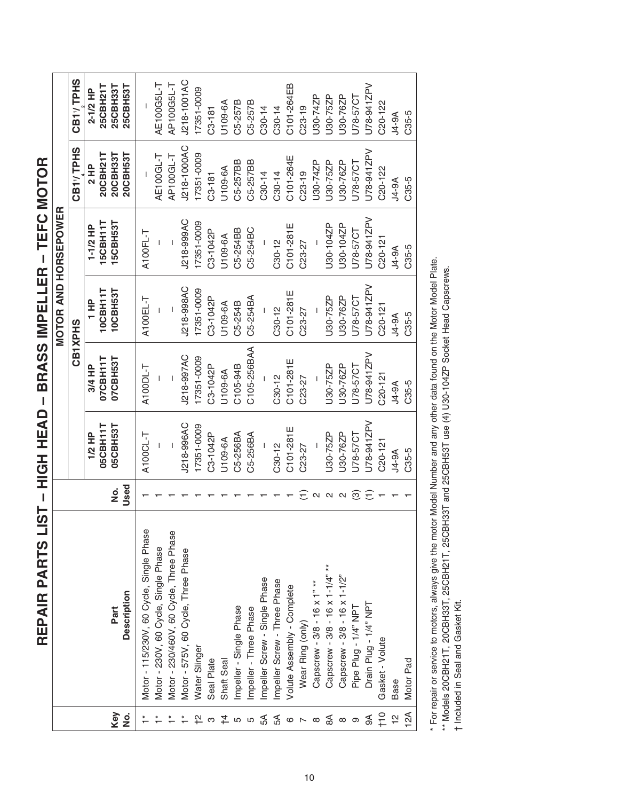REPAIR PARTS LIST - HIGH HEAD - BRASS IMPELLER - TEFC MOTOR **REPAIR PARTS LIST – HIGH HEAD – BRASS IMPELLER – TEFC MOTOR**

|                                                       |                                          |                   |             |              |                                                                                                                                                                                                                                                                                                                                                                                  | <b>MOTOR AND HORSEPOWER</b> |                       |                      |
|-------------------------------------------------------|------------------------------------------|-------------------|-------------|--------------|----------------------------------------------------------------------------------------------------------------------------------------------------------------------------------------------------------------------------------------------------------------------------------------------------------------------------------------------------------------------------------|-----------------------------|-----------------------|----------------------|
|                                                       |                                          |                   |             | CB1XPHS      |                                                                                                                                                                                                                                                                                                                                                                                  |                             | CB1 <sub>V</sub> TPHS | CB1VTPHS             |
|                                                       |                                          |                   | 1/2 HP      | 3/4 HP       | $\frac{1}{1}$                                                                                                                                                                                                                                                                                                                                                                    | $1-1/2$ HP                  | 2 HP                  | 2-1/2 HP             |
|                                                       |                                          |                   | 05CBH11T    | 07CBH11T     | 10CBH11                                                                                                                                                                                                                                                                                                                                                                          | 5CBH111                     | 20CBH21T              | 25CBH21T             |
| Key                                                   | Part                                     | ġ                 | 05CBH53T    | 07CBH53T     | 10CBH53T                                                                                                                                                                                                                                                                                                                                                                         | 15CBH53T                    | 20CBH33T              | 25CBH33T             |
| <u>ہ</u><br>2                                         | Description                              | Used              |             |              |                                                                                                                                                                                                                                                                                                                                                                                  |                             | 20CBH53T              | 25CBH53T             |
|                                                       | Motor - 115/230V, 60 Cycle, Single Phase |                   | A100CL-T    | A100DL-T     | A100EL-T                                                                                                                                                                                                                                                                                                                                                                         | A100FL-T                    |                       |                      |
|                                                       | Motor - 230V, 60 Cycle, Single Phase     |                   |             |              |                                                                                                                                                                                                                                                                                                                                                                                  |                             | AE100GL-T             | AE100G5L-T           |
| $\stackrel{*}{\leftarrow}$ $\stackrel{*}{\leftarrow}$ | Motor - 230/460V, 60 Cycle, Three Phase  |                   | $\sf I$     |              | $\begin{array}{c} \rule{0pt}{2.5ex} \rule{0pt}{2.5ex} \rule{0pt}{2.5ex} \rule{0pt}{2.5ex} \rule{0pt}{2.5ex} \rule{0pt}{2.5ex} \rule{0pt}{2.5ex} \rule{0pt}{2.5ex} \rule{0pt}{2.5ex} \rule{0pt}{2.5ex} \rule{0pt}{2.5ex} \rule{0pt}{2.5ex} \rule{0pt}{2.5ex} \rule{0pt}{2.5ex} \rule{0pt}{2.5ex} \rule{0pt}{2.5ex} \rule{0pt}{2.5ex} \rule{0pt}{2.5ex} \rule{0pt}{2.5ex} \rule{0$ |                             | AP100GL-T             | AP100G5L-T           |
|                                                       | Motor - 575V, 60 Cycle, Three Phase      |                   | J218-996AC  | J218-997AC   | J218-998AC                                                                                                                                                                                                                                                                                                                                                                       | J218-999AC                  | J218-1000AC           | J218-1001AC          |
|                                                       | Water Slinger                            |                   | 17351-0009  | 17351-0009   | 17351-0009                                                                                                                                                                                                                                                                                                                                                                       | 17351-0009                  | 17351-0009            | 17351-0009           |
|                                                       | Seal Plate                               |                   | C3-1042P    | C3-1042P     | C3-1042P                                                                                                                                                                                                                                                                                                                                                                         | C3-1042P                    | $C3 - 181$            | $C3 - 181$           |
| <b>わるは55mmのそるのめるのか</b>                                | Shaft Seal                               |                   | U109-6A     | U109-6A      | U109-6A                                                                                                                                                                                                                                                                                                                                                                          | U109-6A                     | U109-6A               | U109-6A              |
|                                                       | Impeller - Single Phase                  |                   | C5-256BA    | C105-94B     | C5-254B                                                                                                                                                                                                                                                                                                                                                                          | C5-254BB                    | C5-257BB              | C5-257B              |
|                                                       | Impeller - Three Phase                   |                   | C5-256BA    | C105-256BAA  | C5-254BA                                                                                                                                                                                                                                                                                                                                                                         | C5-254BC                    | C5-257BB              | C5-257B              |
|                                                       | mpeller Screw - Single Phase             |                   |             |              |                                                                                                                                                                                                                                                                                                                                                                                  |                             | $C30-14$              | $C30-14$             |
|                                                       | Impeller Screw - Three Phase             |                   | $C30-12$    | $C30 - 12$   | $C30-12$                                                                                                                                                                                                                                                                                                                                                                         | $C30 - 12$                  | $C30-14$              | $C30-14$             |
|                                                       | Volute Assembly - Complete               |                   | C101-281E   | C101-281E    | C101-281E                                                                                                                                                                                                                                                                                                                                                                        | C101-281E                   | C101-264E             | C101-264EB           |
|                                                       | Wear Ring (only)                         | Ξ                 | C23-27      | C23-27       | C23-27                                                                                                                                                                                                                                                                                                                                                                           | C23-27                      | $C23-19$              | $C23-19$             |
|                                                       | Capscrew - 3/8 - 16 x 1" **              | $\mathbf{\Omega}$ |             |              |                                                                                                                                                                                                                                                                                                                                                                                  |                             | U30-74ZP              | U30-74ZP             |
|                                                       | Capscrew - 3/8 - 16 x 1-1/4" **          | $\mathbf{\Omega}$ | J30-75ZP    | U30-75ZP     | U30-75ZP                                                                                                                                                                                                                                                                                                                                                                         | U30-104ZP                   | U30-75ZP              | U30-75ZP             |
|                                                       | Capscrew - 3/8 - 16 x 1-1/2"             | $\mathbf{\Omega}$ | J30-76ZP    | U30-76ZP     | U30-76ZP                                                                                                                                                                                                                                                                                                                                                                         | U30-104ZP                   | U30-76ZP              | U30-76ZP             |
|                                                       | Pipe Plug - 1/4" NPT                     | ම                 | U78-57CT    | U78-57CT     | U78-57CT                                                                                                                                                                                                                                                                                                                                                                         | U78-57CT                    | U78-57CT              | U78-57CT             |
|                                                       | Drain Plug - 1/4" NPT                    | Ξ                 | U78-941ZPV  | U78-941ZPV   | U78-941ZPV                                                                                                                                                                                                                                                                                                                                                                       | U78-941ZPV                  | U78-941ZPV            | U78-941ZPV           |
| 12                                                    | Gasket - Volute                          |                   | $C20 - 121$ | $C20 - 121$  | $C20 - 121$                                                                                                                                                                                                                                                                                                                                                                      | $C20 - 121$                 | $C20 - 122$           | C <sub>20</sub> -122 |
|                                                       | Base                                     |                   | $A-9A$      | <b>J4-9A</b> | $A-9A$                                                                                                                                                                                                                                                                                                                                                                           | $A-9A$                      | <b>A-9A</b>           | <b>A-9A</b>          |
| 12A                                                   | Motor Pad                                |                   | C35-5       | C35-5        | C35-5                                                                                                                                                                                                                                                                                                                                                                            | C35-5                       | C35-5                 | C35-5                |

For repair or service to motors, always give the motor Model Number and any other data found on the Motor Model Plate.

\* For repair or service to motors, always give the motor Model Number and any other data found on the Motor Model Plate.<br>\*\* Models 20CBH21T, 20CBH33T, 25CBH21T, 25CBH33T and 25CBH53T use (4) U30-104ZP Socket Head Capscrews \*\* Models 20CBH21T, 20CBH33T, 25CBH21T, 25CBH33T and 25CBH53T use (4) U30-104ZP Socket Head Capscrews.

† Included in Seal and Gasket Kit.